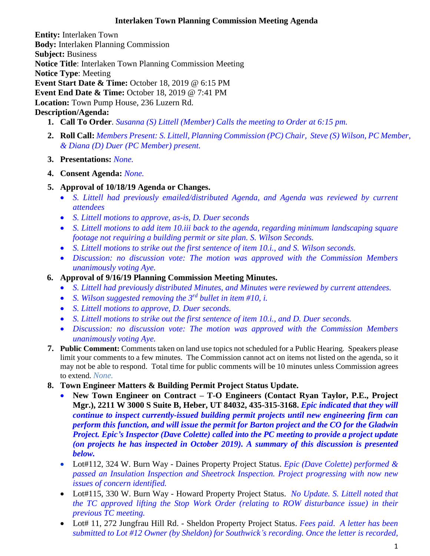## **Interlaken Town Planning Commission Meeting Agenda**

**Entity:** Interlaken Town **Body:** Interlaken [Planning Commission](http://www.utah.gov/pmn/sitemap/publicbody/5029.html) **Subject:** Business **Notice Title**: Interlaken Town Planning Commission Meeting **Notice Type**: Meeting **Event Start Date & Time:** October 18, 2019 @ 6:15 PM **Event End Date & Time:** October 18, 2019 @ 7:41 PM **Location:** Town Pump House, 236 Luzern Rd. **Description/Agenda:**

- **1. Call To Order**. *Susanna (S) Littell (Member) Calls the meeting to Order at 6:15 pm.*
- **2. Roll Call:** *Members Present: S. Littell, Planning Commission (PC) Chair, Steve (S) Wilson, PC Member, & Diana (D) Duer (PC Member) present.*
- **3. Presentations:** *None.*
- **4. Consent Agenda:** *None.*
- **5. Approval of 10/18/19 Agenda or Changes.**
	- *S. Littell had previously emailed/distributed Agenda, and Agenda was reviewed by current attendees*
	- *S. Littell motions to approve, as-is, D. Duer seconds*
	- *S. Littell motions to add item 10.iii back to the agenda, regarding minimum landscaping square footage not requiring a building permit or site plan. S. Wilson Seconds.*
	- *S. Littell motions to strike out the first sentence of item 10.i., and S. Wilson seconds.*
	- *Discussion: no discussion vote: The motion was approved with the Commission Members unanimously voting Aye.*
- **6. Approval of 9/16/19 Planning Commission Meeting Minutes.**
	- *S. Littell had previously distributed Minutes, and Minutes were reviewed by current attendees.*
	- *S. Wilson suggested removing the 3rd bullet in item #10, i.*
	- *S. Littell motions to approve, D. Duer seconds.*
	- *S. Littell motions to strike out the first sentence of item 10.i., and D. Duer seconds.*
	- *Discussion: no discussion vote: The motion was approved with the Commission Members unanimously voting Aye.*
- **7. Public Comment:** Comments taken on land use topics not scheduled for a Public Hearing. Speakers please limit your comments to a few minutes. The Commission cannot act on items not listed on the agenda, so it may not be able to respond. Total time for public comments will be 10 minutes unless Commission agrees to extend. *None.*
- **8. Town Engineer Matters & Building Permit Project Status Update.**
	- **New Town Engineer on Contract – T-O Engineers (Contact Ryan Taylor, P.E., Project Mgr.), 2211 W 3000 S Suite B, Heber, UT 84032, 435-315-3168.** *Epic indicated that they will continue to inspect currently-issued building permit projects until new engineering firm can perform this function, and will issue the permit for Barton project and the CO for the Gladwin Project. Epic's Inspector (Dave Colette) called into the PC meeting to provide a project update (on projects he has inspected in October 2019). A summary of this discussion is presented below.*
	- Lot#112, 324 W. Burn Way Daines Property Project Status. *Epic (Dave Colette) performed & passed an Insulation Inspection and Sheetrock Inspection. Project progressing with now new issues of concern identified.*
	- Lot#115, 330 W. Burn Way Howard Property Project Status. *No Update. S. Littell noted that the TC approved lifting the Stop Work Order (relating to ROW disturbance issue) in their previous TC meeting.*
	- Lot# 11, 272 Jungfrau Hill Rd. Sheldon Property Project Status. *Fees paid*. *A letter has been submitted to Lot #12 Owner (by Sheldon) for Southwick's recording. Once the letter is recorded,*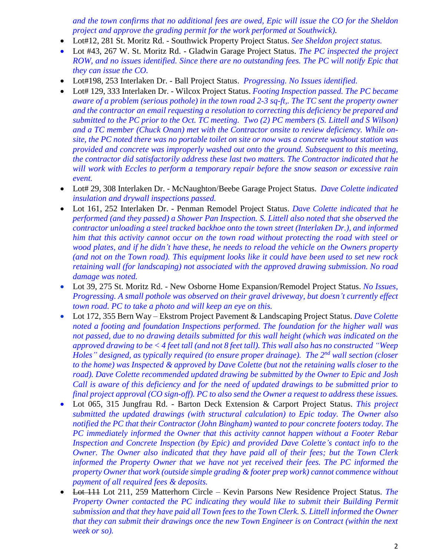*and the town confirms that no additional fees are owed, Epic will issue the CO for the Sheldon project and approve the grading permit for the work performed at Southwick).*

- Lot#12, 281 St. Moritz Rd. Southwick Property Project Status. *See Sheldon project status.*
- Lot #43, 267 W. St. Moritz Rd. Gladwin Garage Project Status. *The PC inspected the project ROW, and no issues identified. Since there are no outstanding fees. The PC will notify Epic that they can issue the CO.*
- Lot#198, 253 Interlaken Dr. Ball Project Status. *Progressing. No Issues identified.*
- Lot# 129, 333 Interlaken Dr. Wilcox Project Status. *Footing Inspection passed. The PC became aware of a problem (serious pothole) in the town road 2-3 sq-ft,. The TC sent the property owner and the contractor an email requesting a resolution to correcting this deficiency be prepared and submitted to the PC prior to the Oct. TC meeting. Two (2) PC members (S. Littell and S Wilson) and a TC member (Chuck Onan) met with the Contractor onsite to review deficiency. While onsite, the PC noted there was no portable toilet on site or now was a concrete washout station was provided and concrete was improperly washed out onto the ground. Subsequent to this meeting, the contractor did satisfactorily address these last two matters. The Contractor indicated that he will work with Eccles to perform a temporary repair before the snow season or excessive rain event.*
- Lot# 29, 308 Interlaken Dr. McNaughton/Beebe Garage Project Status. *Dave Colette indicated insulation and drywall inspections passed.*
- Lot 161, 252 Interlaken Dr. Penman Remodel Project Status. *Dave Colette indicated that he performed (and they passed) a Shower Pan Inspection. S. Littell also noted that she observed the contractor unloading a steel tracked backhoe onto the town street (Interlaken Dr.), and informed him that this activity cannot occur on the town road without protecting the road with steel or wood plates, and if he didn't have these, he needs to reload the vehicle on the Owners property (and not on the Town road). This equipment looks like it could have been used to set new rock retaining wall (for landscaping) not associated with the approved drawing submission. No road damage was noted.*
- Lot 39, 275 St. Moritz Rd. New Osborne Home Expansion/Remodel Project Status. *No Issues, Progressing. A small pothole was observed on their gravel driveway, but doesn't currently effect town road. PC to take a photo and will keep an eye on this.*
- Lot 172, 355 Bern Way Ekstrom Project Pavement & Landscaping Project Status. *Dave Colette noted a footing and foundation Inspections performed. The foundation for the higher wall was not passed, due to no drawing details submitted for this wall height (which was indicated on the approved drawing to be < 4 feet tall (and not 8 feet tall). This wall also has no constructed "Weep Holes" designed, as typically required (to ensure proper drainage). The 2nd wall section (closer to the home) was Inspected & approved by Dave Colette (but not the retaining walls closer to the road). Dave Colette recommended updated drawing be submitted by the Owner to Epic and Josh Call is aware of this deficiency and for the need of updated drawings to be submitted prior to final project approval (CO sign-off). PC to also send the Owner a request to address these issues.*
- Lot 065, 315 Jungfrau Rd. Barton Deck Extension & Carport Project Status. *This project submitted the updated drawings (with structural calculation) to Epic today. The Owner also notified the PC that their Contractor (John Bingham) wanted to pour concrete footers today. The PC immediately informed the Owner that this activity cannot happen without a Footer Rebar Inspection and Concrete Inspection (by Epic) and provided Dave Colette's contact info to the Owner. The Owner also indicated that they have paid all of their fees; but the Town Clerk informed the Property Owner that we have not yet received their fees. The PC informed the property Owner that work (outside simple grading & footer prep work) cannot commence without payment of all required fees & deposits.*
- Lot 111 Lot 211, 259 Matterhorn Circle Kevin Parsons New Residence Project Status. *The Property Owner contacted the PC indicating they would like to submit their Building Permit submission and that they have paid all Town fees to the Town Clerk. S. Littell informed the Owner that they can submit their drawings once the new Town Engineer is on Contract (within the next week or so).*